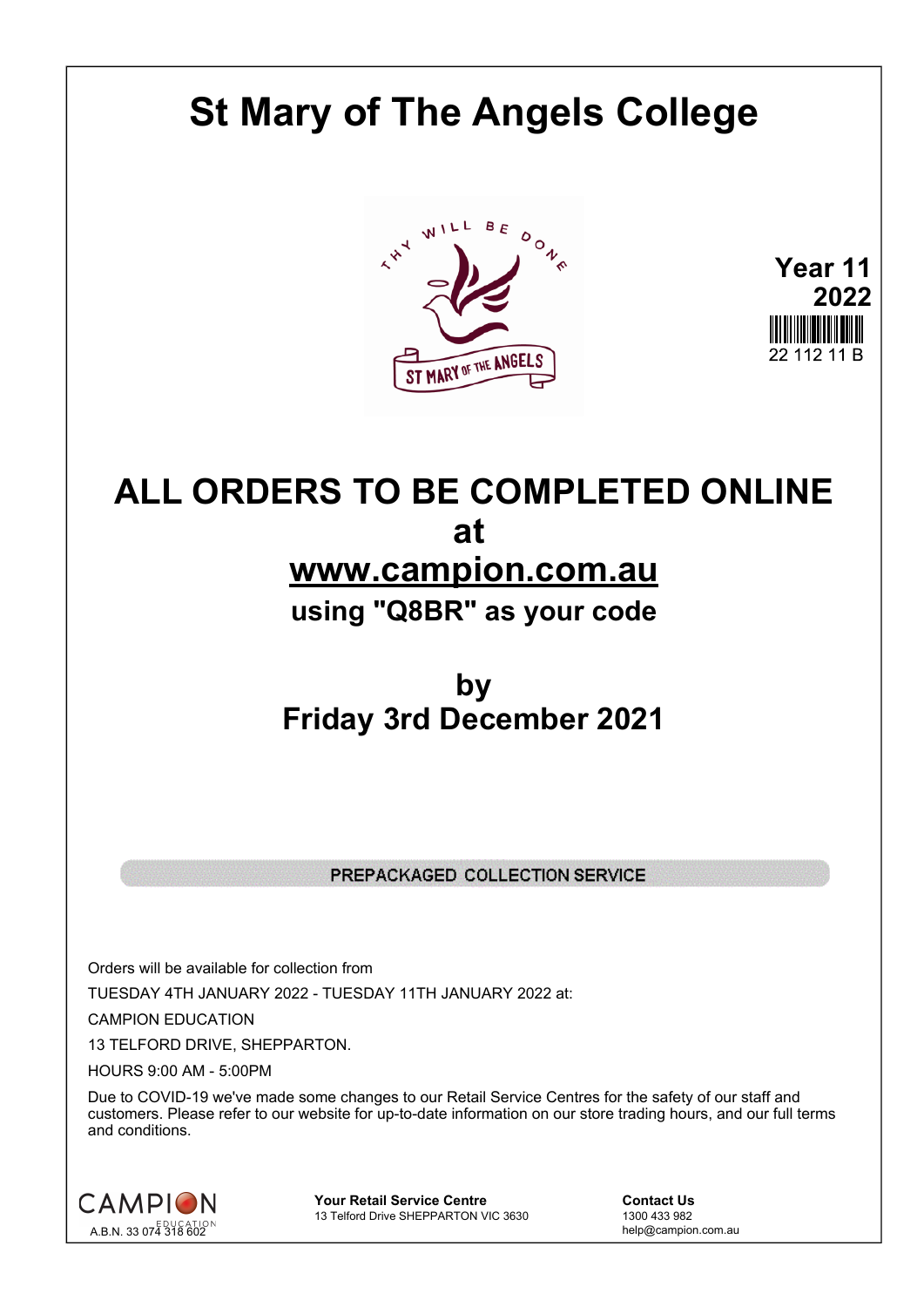# **St Mary of The Angels College**



**Year 11 2022**

## **ALL ORDERS TO BE COMPLETED ONLINE at www.campion.com.au using "Q8BR" as your code**

## **by Friday 3rd December 2021**

#### PREPACKAGED COLLECTION SERVICE

Orders will be available for collection from TUESDAY 4TH JANUARY 2022 - TUESDAY 11TH JANUARY 2022 at:

CAMPION EDUCATION

13 TELFORD DRIVE, SHEPPARTON.

HOURS 9:00 AM - 5:00PM

Due to COVID-19 we've made some changes to our Retail Service Centres for the safety of our staff and customers. Please refer to our website for up-to-date information on our store trading hours, and our full terms and conditions.



**Your Retail Service Centre Contact Us**13 Telford Drive SHEPPARTON VIC 3630

1300 433 982 13 Telford Drive SHEPPARTON VIC 3630

help@campion.com.au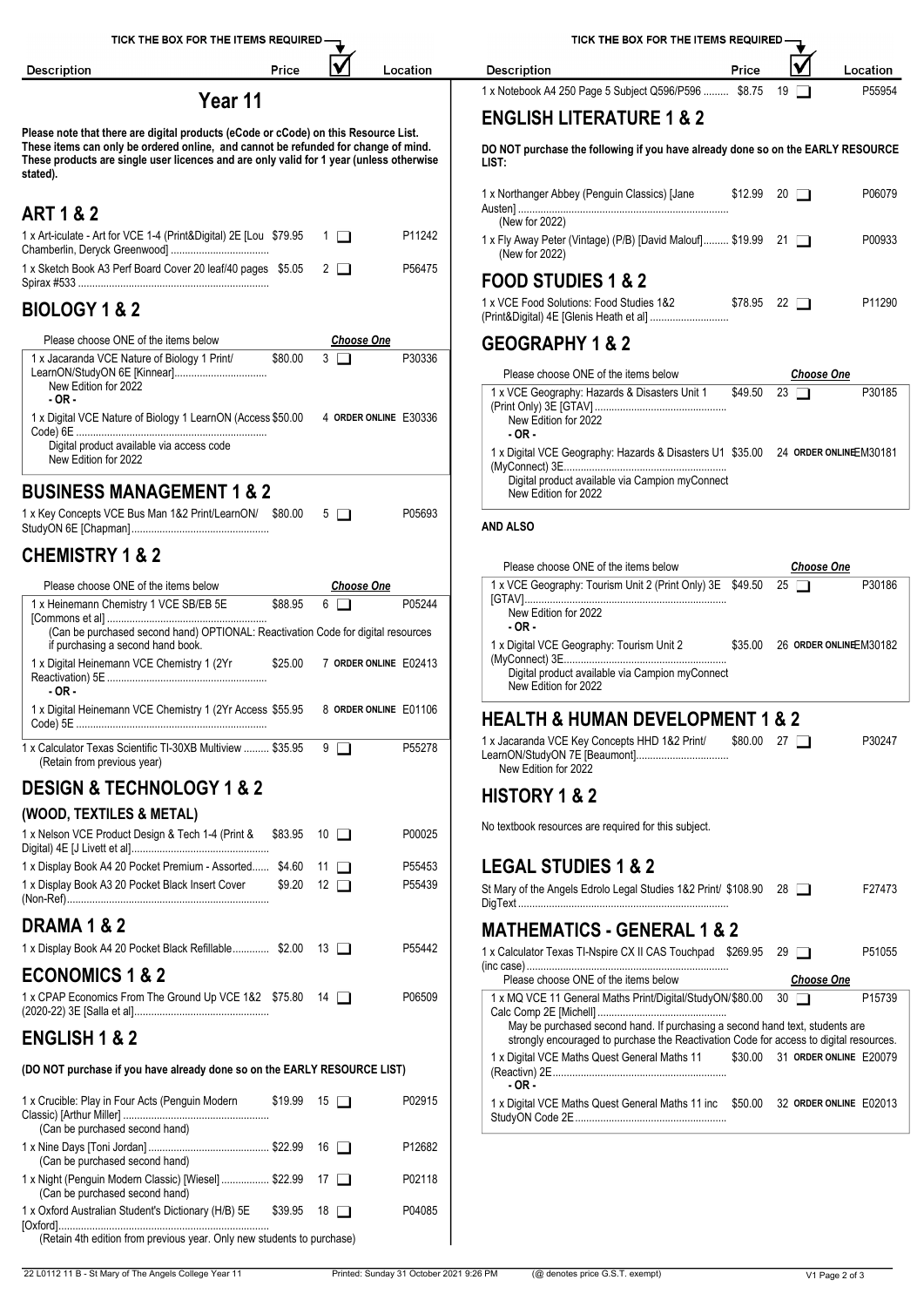| TICK THE BOX FOR THE ITEMS REQUIRED                                                                                                                                                                                                                                              |                              |                       | TICK THE BOX FOR THE ITEMS REQUIRED -                                                                                                                                  |  |  |  |  |  |
|----------------------------------------------------------------------------------------------------------------------------------------------------------------------------------------------------------------------------------------------------------------------------------|------------------------------|-----------------------|------------------------------------------------------------------------------------------------------------------------------------------------------------------------|--|--|--|--|--|
| Price<br><b>Description</b>                                                                                                                                                                                                                                                      |                              | Location              | Price<br><b>Description</b><br>Location                                                                                                                                |  |  |  |  |  |
| Year 11                                                                                                                                                                                                                                                                          |                              |                       | 1 x Notebook A4 250 Page 5 Subject Q596/P596  \$8.75 19<br>P55954                                                                                                      |  |  |  |  |  |
|                                                                                                                                                                                                                                                                                  |                              |                       | <b>ENGLISH LITERATURE 1 &amp; 2</b>                                                                                                                                    |  |  |  |  |  |
| Please note that there are digital products (eCode or cCode) on this Resource List.<br>These items can only be ordered online, and cannot be refunded for change of mind.<br>These products are single user licences and are only valid for 1 year (unless otherwise<br>stated). |                              |                       | DO NOT purchase the following if you have already done so on the EARLY RESOURCE<br>LIST:                                                                               |  |  |  |  |  |
| <b>ART 1 &amp; 2</b>                                                                                                                                                                                                                                                             |                              |                       | P06079<br>1 x Northanger Abbey (Penguin Classics) [Jane<br>$$12.99$ 20 $\Box$                                                                                          |  |  |  |  |  |
| 1 x Art-iculate - Art for VCE 1-4 (Print&Digital) 2E [Lou \$79.95                                                                                                                                                                                                                | - 1 □                        | P11242                | (New for 2022)<br>1 x Fly Away Peter (Vintage) (P/B) [David Malouf] \$19.99 21<br>P00933                                                                               |  |  |  |  |  |
| 1 x Sketch Book A3 Perf Board Cover 20 leaf/40 pages \$5.05                                                                                                                                                                                                                      | $2\Box$                      | P56475                | (New for 2022)                                                                                                                                                         |  |  |  |  |  |
|                                                                                                                                                                                                                                                                                  |                              |                       | <b>FOOD STUDIES 1 &amp; 2</b><br>1 x VCE Food Solutions: Food Studies 1&2<br>$$78.95$ 22 $\Box$<br>P11290                                                              |  |  |  |  |  |
| <b>BIOLOGY 1 &amp; 2</b>                                                                                                                                                                                                                                                         |                              |                       |                                                                                                                                                                        |  |  |  |  |  |
| Please choose ONE of the items below<br>1 x Jacaranda VCE Nature of Biology 1 Print/<br>\$80.00                                                                                                                                                                                  | <b>Choose One</b><br>$3\Box$ | P30336                | <b>GEOGRAPHY 1 &amp; 2</b>                                                                                                                                             |  |  |  |  |  |
| LearnON/StudyON 6E [Kinnear]<br>New Edition for 2022<br>$-OR -$<br>1 x Digital VCE Nature of Biology 1 LearnON (Access \$50.00 4 ORDER ONLINE E30336                                                                                                                             |                              |                       | Please choose ONE of the items below<br><b>Choose One</b><br>1 x VCE Geography: Hazards & Disasters Unit 1<br>$$49.50$ 23 $\Box$<br>P30185<br>New Edition for 2022     |  |  |  |  |  |
| Digital product available via access code<br>New Edition for 2022                                                                                                                                                                                                                |                              |                       | $-OR -$<br>1 x Digital VCE Geography: Hazards & Disasters U1 \$35.00 24 ORDER ONLINE M30181                                                                            |  |  |  |  |  |
| <b>BUSINESS MANAGEMENT 1 &amp; 2</b>                                                                                                                                                                                                                                             |                              |                       | Digital product available via Campion myConnect                                                                                                                        |  |  |  |  |  |
| 1 x Key Concepts VCE Bus Man 1&2 Print/LearnON/ \$80.00 5                                                                                                                                                                                                                        |                              | P05693                | New Edition for 2022                                                                                                                                                   |  |  |  |  |  |
|                                                                                                                                                                                                                                                                                  |                              |                       | <b>AND ALSO</b>                                                                                                                                                        |  |  |  |  |  |
| <b>CHEMISTRY 1 &amp; 2</b>                                                                                                                                                                                                                                                       |                              |                       | Please choose ONE of the items below<br><b>Choose One</b>                                                                                                              |  |  |  |  |  |
| Please choose ONE of the items below                                                                                                                                                                                                                                             | <b>Choose One</b>            |                       | 1 x VCE Geography: Tourism Unit 2 (Print Only) 3E \$49.50 25<br>P30186                                                                                                 |  |  |  |  |  |
| 1 x Heinemann Chemistry 1 VCE SB/EB 5E<br>\$88.95                                                                                                                                                                                                                                | $6 \Box$                     | P05244                | New Edition for 2022                                                                                                                                                   |  |  |  |  |  |
| (Can be purchased second hand) OPTIONAL: Reactivation Code for digital resources<br>if purchasing a second hand book.                                                                                                                                                            |                              |                       | $-OR -$<br>1 x Digital VCE Geography: Tourism Unit 2<br>\$35.00 26 ORDER ONLINE M30182                                                                                 |  |  |  |  |  |
| 1 x Digital Heinemann VCE Chemistry 1 (2Yr<br>\$25.00<br>$-OR -$                                                                                                                                                                                                                 |                              | 7 ORDER ONLINE E02413 | Digital product available via Campion myConnect<br>New Edition for 2022                                                                                                |  |  |  |  |  |
| 1 x Digital Heinemann VCE Chemistry 1 (2Yr Access \$55.95                                                                                                                                                                                                                        |                              | 8 ORDER ONLINE E01106 | <b>HEALTH &amp; HUMAN DEVELOPMENT 1 &amp; 2</b>                                                                                                                        |  |  |  |  |  |
| 1 x Calculator Texas Scientific TI-30XB Multiview  \$35.95<br>(Retain from previous year)                                                                                                                                                                                        | 9 □                          | P55278                | P30247<br>1 x Jacaranda VCE Key Concepts HHD 1&2 Print/<br>\$80.00 27<br>New Edition for 2022                                                                          |  |  |  |  |  |
| <b>DESIGN &amp; TECHNOLOGY 1 &amp; 2</b>                                                                                                                                                                                                                                         |                              |                       | <b>HISTORY 1 &amp; 2</b>                                                                                                                                               |  |  |  |  |  |
| (WOOD, TEXTILES & METAL)                                                                                                                                                                                                                                                         |                              |                       |                                                                                                                                                                        |  |  |  |  |  |
| 1 x Nelson VCE Product Design & Tech 1-4 (Print &<br>\$83.95 10 □                                                                                                                                                                                                                |                              | P00025                | No textbook resources are required for this subject.                                                                                                                   |  |  |  |  |  |
| 1 x Display Book A4 20 Pocket Premium - Assorted \$4.60 11<br>1 x Display Book A3 20 Pocket Black Insert Cover<br>$$9.20$ 12 $\Box$                                                                                                                                              |                              | P55453<br>P55439      | <b>LEGAL STUDIES 1 &amp; 2</b>                                                                                                                                         |  |  |  |  |  |
|                                                                                                                                                                                                                                                                                  |                              |                       | St Mary of the Angels Edrolo Legal Studies 1&2 Print/ \$108.90 28<br>F27473                                                                                            |  |  |  |  |  |
| <b>DRAMA 1 &amp; 2</b>                                                                                                                                                                                                                                                           |                              |                       | <b>MATHEMATICS - GENERAL 1 &amp; 2</b>                                                                                                                                 |  |  |  |  |  |
| 1 x Display Book A4 20 Pocket Black Refillable \$2.00 13                                                                                                                                                                                                                         |                              | P55442                | 1 x Calculator Texas TI-Nspire CX II CAS Touchpad \$269.95 29<br>P51055                                                                                                |  |  |  |  |  |
| <b>ECONOMICS 1 &amp; 2</b>                                                                                                                                                                                                                                                       |                              |                       | Please choose ONE of the items below<br><b>Choose One</b>                                                                                                              |  |  |  |  |  |
| 1 x CPAP Economics From The Ground Up VCE 1&2 \$75.80 14                                                                                                                                                                                                                         |                              | P06509                | 1 x MQ VCE 11 General Maths Print/Digital/StudyON/\$80.00<br>$30$ $\Box$<br>P15739                                                                                     |  |  |  |  |  |
| <b>ENGLISH 1 &amp; 2</b>                                                                                                                                                                                                                                                         |                              |                       | May be purchased second hand. If purchasing a second hand text, students are<br>strongly encouraged to purchase the Reactivation Code for access to digital resources. |  |  |  |  |  |
| (DO NOT purchase if you have already done so on the EARLY RESOURCE LIST)                                                                                                                                                                                                         |                              |                       | 1 x Digital VCE Maths Quest General Maths 11<br>\$30.00 31 ORDER ONLINE E20079<br>$-OR -$                                                                              |  |  |  |  |  |
| 1 x Crucible: Play in Four Acts (Penguin Modern<br>$$19.99$ 15 $\Box$<br>(Can be purchased second hand)                                                                                                                                                                          |                              | P02915                | 1 x Digital VCE Maths Quest General Maths 11 inc \$50.00 32 ORDER ONLINE E02013                                                                                        |  |  |  |  |  |
| (Can be purchased second hand)                                                                                                                                                                                                                                                   |                              | P12682                |                                                                                                                                                                        |  |  |  |  |  |
| 1 x Night (Penguin Modern Classic) [Wiesel]  \$22.99 17<br>(Can be purchased second hand)                                                                                                                                                                                        |                              | P02118                |                                                                                                                                                                        |  |  |  |  |  |
| 1 x Oxford Australian Student's Dictionary (H/B) 5E<br>$$39.95$ 18 $\Box$                                                                                                                                                                                                        |                              | P04085                |                                                                                                                                                                        |  |  |  |  |  |
| (Retain 4th edition from previous year. Only new students to purchase)                                                                                                                                                                                                           |                              |                       |                                                                                                                                                                        |  |  |  |  |  |